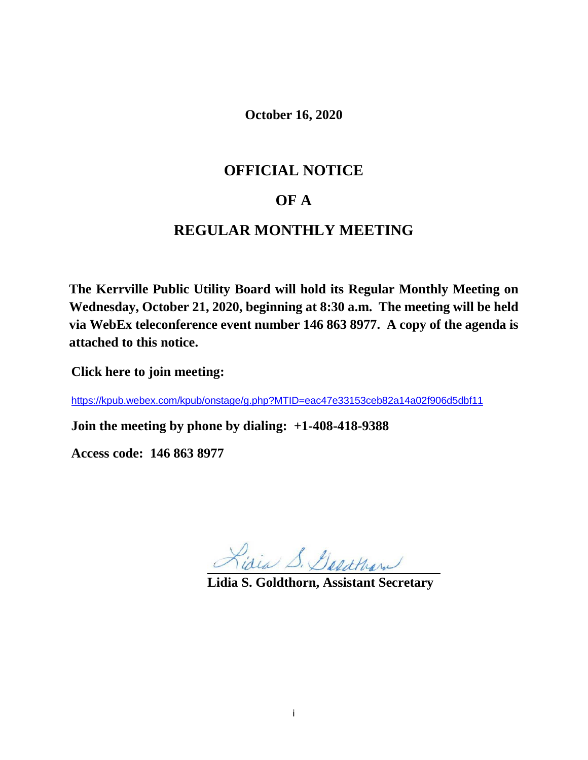**October 16, 2020**

# **OFFICIAL NOTICE**

## **OF A**

# **REGULAR MONTHLY MEETING**

**The Kerrville Public Utility Board will hold its Regular Monthly Meeting on Wednesday, October 21, 2020, beginning at 8:30 a.m. The meeting will be held via WebEx teleconference event number 146 863 8977. A copy of the agenda is attached to this notice.**

**Click here to join meeting:** 

<https://kpub.webex.com/kpub/onstage/g.php?MTID=eac47e33153ceb82a14a02f906d5dbf11>

**Join the meeting by phone by dialing: +1-408-418-9388**

**Access code: 146 863 8977**

Lisia S. Desathan

**Lidia S. Goldthorn, Assistant Secretary**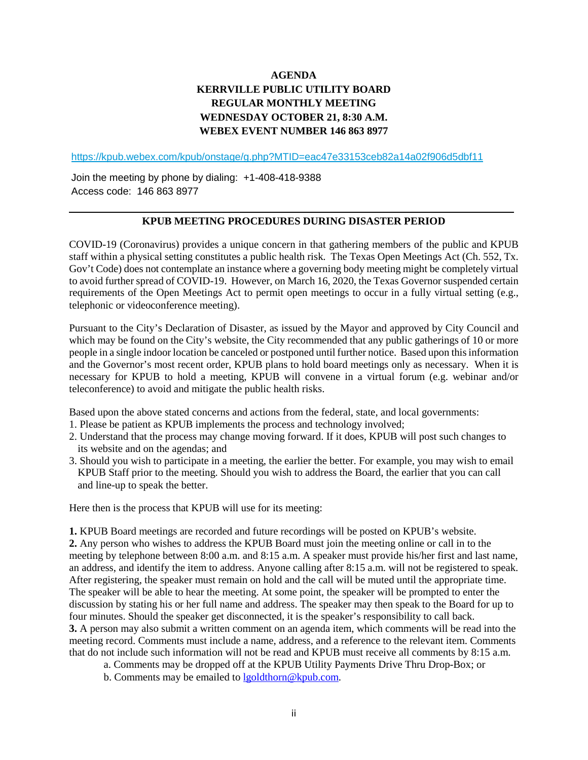## **AGENDA KERRVILLE PUBLIC UTILITY BOARD REGULAR MONTHLY MEETING WEDNESDAY OCTOBER 21, 8:30 A.M. WEBEX EVENT NUMBER 146 863 8977**

<https://kpub.webex.com/kpub/onstage/g.php?MTID=eac47e33153ceb82a14a02f906d5dbf11>

Join the meeting by phone by dialing: +1-408-418-9388 Access code: 146 863 8977

### **KPUB MEETING PROCEDURES DURING DISASTER PERIOD**

COVID-19 (Coronavirus) provides a unique concern in that gathering members of the public and KPUB staff within a physical setting constitutes a public health risk. The Texas Open Meetings Act (Ch. 552, Tx. Gov't Code) does not contemplate an instance where a governing body meeting might be completely virtual to avoid further spread of COVID-19. However, on March 16, 2020, the Texas Governor suspended certain requirements of the Open Meetings Act to permit open meetings to occur in a fully virtual setting (e.g., telephonic or videoconference meeting).

Pursuant to the City's Declaration of Disaster, as issued by the Mayor and approved by City Council and which may be found on the City's website, the City recommended that any public gatherings of 10 or more people in a single indoor location be canceled or postponed until further notice. Based upon this information and the Governor's most recent order, KPUB plans to hold board meetings only as necessary. When it is necessary for KPUB to hold a meeting, KPUB will convene in a virtual forum (e.g. webinar and/or teleconference) to avoid and mitigate the public health risks.

Based upon the above stated concerns and actions from the federal, state, and local governments:

- 1. Please be patient as KPUB implements the process and technology involved;
- 2. Understand that the process may change moving forward. If it does, KPUB will post such changes to its website and on the agendas; and
- 3. Should you wish to participate in a meeting, the earlier the better. For example, you may wish to email KPUB Staff prior to the meeting. Should you wish to address the Board, the earlier that you can call and line-up to speak the better.

Here then is the process that KPUB will use for its meeting:

**1.** KPUB Board meetings are recorded and future recordings will be posted on KPUB's website. **2.** Any person who wishes to address the KPUB Board must join the meeting online or call in to the meeting by telephone between 8:00 a.m. and 8:15 a.m. A speaker must provide his/her first and last name, an address, and identify the item to address. Anyone calling after 8:15 a.m. will not be registered to speak. After registering, the speaker must remain on hold and the call will be muted until the appropriate time. The speaker will be able to hear the meeting. At some point, the speaker will be prompted to enter the discussion by stating his or her full name and address. The speaker may then speak to the Board for up to four minutes. Should the speaker get disconnected, it is the speaker's responsibility to call back. **3.** A person may also submit a written comment on an agenda item, which comments will be read into the meeting record. Comments must include a name, address, and a reference to the relevant item. Comments that do not include such information will not be read and KPUB must receive all comments by 8:15 a.m.

- a. Comments may be dropped off at the KPUB Utility Payments Drive Thru Drop-Box; or
- b. Comments may be emailed to [lgoldthorn@kpub.com.](mailto:lgoldthorn@kpub.com)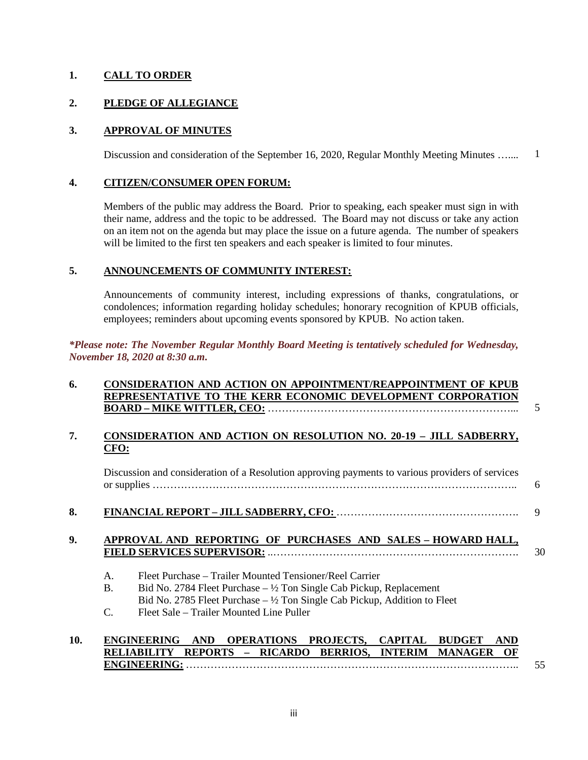### **1. CALL TO ORDER**

### **2. PLEDGE OF ALLEGIANCE**

#### **3. APPROVAL OF MINUTES**

Discussion and consideration of the September 16, 2020, Regular Monthly Meeting Minutes ….... 1

#### **4. CITIZEN/CONSUMER OPEN FORUM:**

Members of the public may address the Board. Prior to speaking, each speaker must sign in with their name, address and the topic to be addressed. The Board may not discuss or take any action on an item not on the agenda but may place the issue on a future agenda. The number of speakers will be limited to the first ten speakers and each speaker is limited to four minutes.

#### **5. ANNOUNCEMENTS OF COMMUNITY INTEREST:**

Announcements of community interest, including expressions of thanks, congratulations, or condolences; information regarding holiday schedules; honorary recognition of KPUB officials, employees; reminders about upcoming events sponsored by KPUB. No action taken.

### *\*Please note: The November Regular Monthly Board Meeting is tentatively scheduled for Wednesday, November 18, 2020 at 8:30 a.m.*

### **6. CONSIDERATION AND ACTION ON APPOINTMENT/REAPPOINTMENT OF KPUB REPRESENTATIVE TO THE KERR ECONOMIC DEVELOPMENT CORPORATION BOARD – MIKE WITTLER, CEO:** ……………………………………………………………...

### **7. CONSIDERATION AND ACTION ON RESOLUTION NO. 20-19 – JILL SADBERRY, CFO:**

Discussion and consideration of a Resolution approving payments to various providers of services or supplies ………………………………………………………………………………………….. 6

5

#### **8. FINANCIAL REPORT – JILL SADBERRY, CFO:** ……………………………………………. 9

#### **9. APPROVAL AND REPORTING OF PURCHASES AND SALES – HOWARD HALL, FIELD SERVICES SUPERVISOR:** ..……………………………………………………………. 30

- A. Fleet Purchase Trailer Mounted Tensioner/Reel Carrier
- B. Bid No. 2784 Fleet Purchase  $\frac{1}{2}$  Ton Single Cab Pickup, Replacement
- Bid No. 2785 Fleet Purchase  $-$  1/2 Ton Single Cab Pickup, Addition to Fleet
- C. Fleet Sale Trailer Mounted Line Puller

#### **10. ENGINEERING AND OPERATIONS PROJECTS, CAPITAL BUDGET AND RELIABILITY REPORTS – RICARDO BERRIOS, INTERIM MANAGER OF ENGINEERING:** ………………………………………………………………………………….. 55